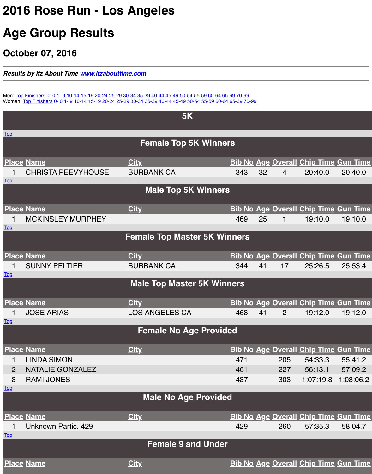| <b>Top</b>                       | <b>CHRISTA PEEVYHOUSE</b> | <b>BURBANK CA</b>                |              |
|----------------------------------|---------------------------|----------------------------------|--------------|
|                                  |                           | <b>Male Top 5K Winners</b>       |              |
|                                  | <b>Place Name</b>         | <b>City</b>                      | $\mathbf B$  |
| <b>Top</b>                       | <b>MCKINSLEY MURPHEY</b>  |                                  |              |
|                                  |                           | <b>Female Top Master 5K Winr</b> |              |
|                                  | <b>Place Name</b>         | <b>City</b>                      | $\mathbf{B}$ |
| 1<br><b>Top</b>                  | <b>SUNNY PELTIER</b>      | <b>BURBANK CA</b>                |              |
|                                  |                           | <b>Male Top Master 5K Winne</b>  |              |
|                                  | <b>Place Name</b>         | <b>City</b>                      | $\mathbf B$  |
|                                  | <b>JOSE ARIAS</b>         | <b>LOS ANGELES CA</b>            |              |
| <b>Top</b>                       |                           |                                  |              |
|                                  |                           | <b>Female No Age Provided</b>    |              |
|                                  | <b>Place Name</b>         | <b>City</b>                      | $\mathbf B$  |
|                                  | <b>LINDA SIMON</b>        |                                  |              |
| $\overline{2}$                   | <b>NATALIE GONZALEZ</b>   |                                  |              |
| $\mathbf{3}$                     | <b>RAMI JONES</b>         |                                  |              |
| <b>Top</b>                       |                           |                                  |              |
|                                  |                           | <b>Male No Age Provided</b>      |              |
|                                  | <b>Place Name</b>         | <b>City</b>                      | $\mathbf{B}$ |
|                                  | Unknown Partic. 429       |                                  |              |
| $\underline{\operatorname{Top}}$ |                           |                                  |              |
|                                  |                           | <b>Female 9 and Under</b>        |              |
|                                  | <b>Place Name</b>         | <b>City</b>                      | $\mathbf B$  |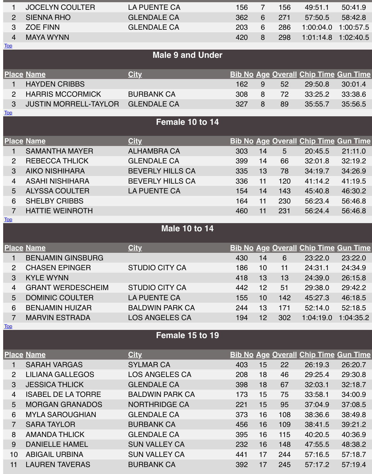| उ                            | <b>AIKO NISHIHARA</b><br><b>ASAHI NISHIHARA</b> | BEVERLY HILLS CA<br><b>BEVERLY HILLS CA</b> |                                                 |
|------------------------------|-------------------------------------------------|---------------------------------------------|-------------------------------------------------|
| $\overline{4}$               |                                                 | <b>LA PUENTE CA</b>                         |                                                 |
| $5\overline{)}$              | <b>ALYSSA COULTER</b>                           |                                             |                                                 |
| 6                            | <b>SHELBY CRIBBS</b>                            |                                             |                                                 |
| $\overline{7}$<br><u>Top</u> | <b>HATTIE WEINROTH</b>                          |                                             |                                                 |
|                              |                                                 | <b>Male 10 to 14</b>                        |                                                 |
|                              |                                                 |                                             |                                                 |
|                              | <u>Place Name</u>                               | <b>City</b>                                 | $\mathbf B$                                     |
| 1                            | <b>BENJAMIN GINSBURG</b>                        |                                             |                                                 |
| $\overline{2}$               | <b>CHASEN EPINGER</b>                           | <b>STUDIO CITY CA</b>                       |                                                 |
| $\mathbf{3}$                 | <b>KYLE WYNN</b>                                |                                             |                                                 |
| $\overline{4}$               | <b>GRANT WERDESCHEIM</b>                        | <b>STUDIO CITY CA</b>                       |                                                 |
| 5                            | <b>DOMINIC COULTER</b>                          | <b>LA PUENTE CA</b>                         |                                                 |
| 6                            | <b>BENJAMIN HUIZAR</b>                          | <b>BALDWIN PARK CA</b>                      |                                                 |
| $\overline{7}$               | <b>MARVIN ESTRADA</b>                           | <b>LOS ANGELES CA</b>                       |                                                 |
| <u>Top</u>                   |                                                 |                                             |                                                 |
|                              |                                                 | Female 15 to 19                             |                                                 |
|                              | <b>Place Name</b>                               | <b>City</b>                                 | $\mathbf{B}% _{T}=\mathbf{A}_{T}\mathbf{B}_{T}$ |
|                              | <b>SARAH VARGAS</b>                             | <b>SYLMAR CA</b>                            |                                                 |
| $\overline{2}$               | <b>LILIANA GALLEGOS</b>                         | <b>LOS ANGELES CA</b>                       |                                                 |
| 3 <sup>°</sup>               | <b>JESSICA THLICK</b>                           | <b>GLENDALE CA</b>                          |                                                 |
| $\overline{4}$               | <b>ISABEL DE LA TORRE</b>                       | <b>BALDWIN PARK CA</b>                      |                                                 |
| 5 <sup>5</sup>               | <b>MORGAN GRANADOS</b>                          | <b>NORTHRIDGE CA</b>                        |                                                 |
| 6                            | <b>MYLA SAROUGHIAN</b>                          | <b>GLENDALE CA</b>                          |                                                 |
| $\overline{7}$               | <b>SARA TAYLOR</b>                              | <b>BURBANK CA</b>                           |                                                 |
| 8                            | <b>AMANDA THLICK</b>                            | <b>GLENDALE CA</b>                          |                                                 |
|                              |                                                 |                                             |                                                 |

9 DANIELLE HAMEL SUN VALLEY CA

10 ABIGAIL URBINA SUN VALLEY CA

11 LAUREN TAVERAS BURBANK CA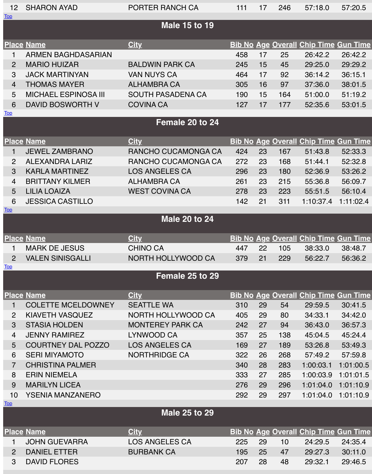|                | 3 KARLA MARTINEZ  | LOS ANGELES CA        |
|----------------|-------------------|-----------------------|
|                | 4 BRITTANY KILMER | ALHAMBRA CA           |
| 5 <sub>1</sub> | LILIA LOAIZA      | <b>WEST COVINA CA</b> |

6 JESSICA CASTILLO

EST COVINA CA

# **Male 20 to 24**

## **Place Name City Bib No Age Overall Chip Time Gun Time**

Top

**Top** 

- 1 MARK DE JESUS CHINO CA
- 

2 VALEN SINISGALLI NORTH HOLLYWOOD CA

# **Female 25 to 29**

## **Place Name City Bib No Age Overall Chip Time Gun Time**

- 1 COLETTE MCELDOWNEY SEATTLE WA
- 2 KIAVETH VASQUEZ NORTH HOLLYWOOD CA
- 3 STASIA HOLDEN MONTEREY PARK CA
- 4 JENNY RAMIREZ LYNWOOD CA
- 5 COURTNEY DAL POZZO LOS ANGELES CA
- 6 SERI MIYAMOTO NORTHRIDGE CA
- 7 CHRISTINA PALMER
- [8](file:///Users/JessicaCribbs/Downloads/roserun_5k_byagegroup-2.htm#Top) FRIN NIFMELA
- 9 MARILYN LICEA
- 10 YSENIA MANZANERO

#### Top

# **Male 25 to 29**

- 1 JOHN GUEVARRA LOS ANGELES CA
- 2 DANIEL ETTER BURBANK CA
- 3 DAVID FLORES

**[Pla](file:///Users/JessicaCribbs/Downloads/roserun_5k_byagegroup-2.htm#Top)ce Name City Bib No Age Overall Chip Time Gun Time**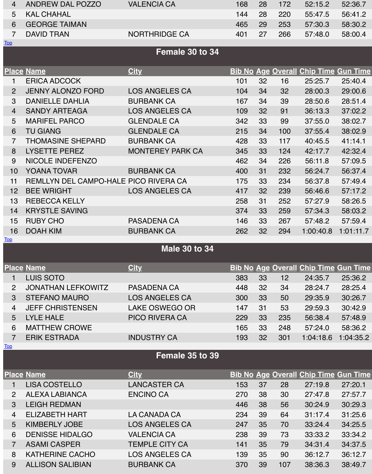| TU                               | YUANA IUVAR                           | <b>BURBANK CA</b>     |              |
|----------------------------------|---------------------------------------|-----------------------|--------------|
| 11                               | REMLLYN DEL CAMPO-HALE PICO RIVERA CA |                       |              |
| 12                               | <b>BEE WRIGHT</b>                     | <b>LOS ANGELES CA</b> |              |
| 13                               | <b>REBECCA KELLY</b>                  |                       |              |
| 14                               | <b>KRYSTLE SAVING</b>                 |                       |              |
| 15                               | <b>RUBY CHO</b>                       | <b>PASADENA CA</b>    |              |
| 16                               | <b>DOAH KIM</b>                       | <b>BURBANK CA</b>     |              |
| <u>Top</u>                       |                                       |                       |              |
|                                  |                                       | <b>Male 30 to 34</b>  |              |
|                                  | <b>Place Name</b>                     | <b>City</b>           | $\mathbf{B}$ |
|                                  | <b>LUIS SOTO</b>                      |                       |              |
| $\overline{2}$                   | <b>JONATHAN LEFKOWITZ</b>             | <b>PASADENA CA</b>    |              |
| $\mathbf{3}$                     | <b>STEFANO MAURO</b>                  | <b>LOS ANGELES CA</b> |              |
| $\overline{4}$                   | <b>JEFF CHRISTENSEN</b>               | <b>LAKE OSWEGO OR</b> |              |
| 5                                | <b>LYLE HALE</b>                      | <b>PICO RIVERA CA</b> |              |
| 6                                | <b>MATTHEW CROWE</b>                  |                       |              |
| $\overline{7}$                   | <b>ERIK ESTRADA</b>                   | <b>INDUSTRY CA</b>    |              |
| $\underline{\operatorname{Top}}$ |                                       |                       |              |
|                                  |                                       | Female 35 to 39       |              |
|                                  | <u>Place Name</u>                     | <b>City</b>           | $\mathbf{B}$ |
|                                  | <b>LISA COSTELLO</b>                  | <b>LANCASTER CA</b>   |              |
| $\overline{2}$                   | <b>ALEXA LABIANCA</b>                 | <b>ENCINO CA</b>      |              |
| $\mathbf{3}$                     | <b>LEIGH REDMAN</b>                   |                       |              |
| $\overline{4}$                   | <b>ELIZABETH HART</b>                 | LA CANADA CA          |              |
| 5 <sup>5</sup>                   | <b>KIMBERLY JOBE</b>                  | <b>LOS ANGELES CA</b> |              |
| 6                                | <b>DENISSE HIDALGO</b>                | <b>VALENCIA CA</b>    |              |
| $\overline{7}$                   | <b>ASAMI CASPER</b>                   | <b>TEMPLE CITY CA</b> |              |
| 8                                | <b>KATHERINE CACHO</b>                | <b>LOS ANGELES CA</b> |              |
| 9                                | <b>ALLISON SALIBIAN</b>               | <b>BURBANK CA</b>     |              |
|                                  |                                       |                       |              |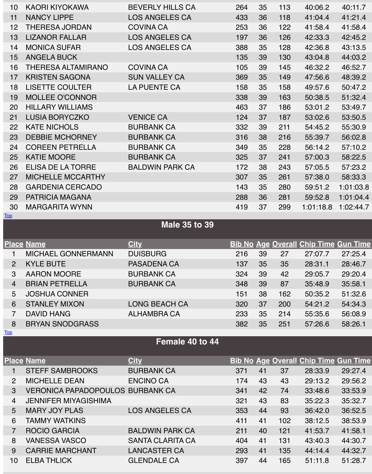### 26 ELISA DE LA TORRE BALDWIN PARK CA 172 38 243 57:05.5 57:23.2

- 27 MICHELLE MCCARTHY
- 28 GARDENIA CERCADO
- 29 PATRICIA MAGANA
- 30 MARGARITA WYNN

#### Top

# **Male 35 to 39**

|                                  | <b>Place Name</b>                       | <b>City</b>           | $\mathbf B$  |
|----------------------------------|-----------------------------------------|-----------------------|--------------|
| 1                                | <b>MICHAEL GONNERMANN</b>               | <b>DUISBURG</b>       |              |
| $\overline{2}$                   | <b>KYLE BUTE</b>                        | <b>PASADENA CA</b>    |              |
| $\mathcal{S}$                    | <b>AARON MOORE</b>                      | <b>BURBANK CA</b>     |              |
| $\overline{4}$                   | <b>BRIAN PETRELLA</b>                   | <b>BURBANK CA</b>     |              |
| 5                                | <b>JOSHUA CONNER</b>                    |                       |              |
| 6                                | <b>STANLEY MIXON</b>                    | <b>LONG BEACH CA</b>  |              |
| $\overline{7}$                   | <b>DAVID HANG</b>                       | <b>ALHAMBRA CA</b>    |              |
| 8                                | <b>BRYAN SNODGRASS</b>                  |                       |              |
| $\underline{\operatorname{Top}}$ |                                         |                       |              |
|                                  |                                         |                       |              |
|                                  |                                         | Female 40 to 44       |              |
|                                  | <b>Place Name</b>                       | <b>City</b>           |              |
| 1                                | <b>STEFF SAMBROOKS</b>                  | <b>BURBANK CA</b>     | $\mathbf{B}$ |
| 2                                | <b>MICHELLE DEAN</b>                    | <b>ENCINO CA</b>      |              |
| 3                                | <b>VERONICA PAPADOPOULOS BURBANK CA</b> |                       |              |
| $\overline{4}$                   | <b>JENNIFER MIYAGISHIMA</b>             |                       |              |
| 5                                | <b>MARY JOY PLAS</b>                    | <b>LOS ANGELES CA</b> |              |
| 6                                | <b>TAMMY WATKINS</b>                    |                       |              |

- 7 ROCIO GARCIA BALDWIN PARK CA
- 8 VANESSA VASCO SANTA CLARITA CA
- 9 CARRIE MARCHANT LANCASTER CA
- 10 ELBA THLICK GLENDALE CA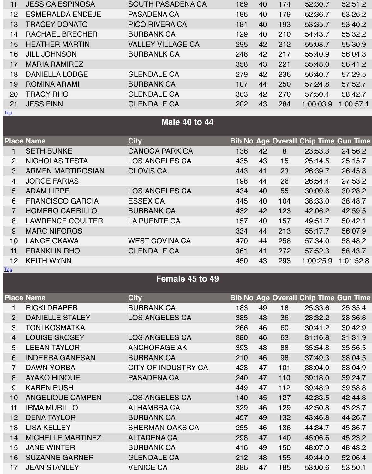|--|

- 4 JORGE FARIAS
- 
- 6 FRANCISCO GARCIA ESSEX CA
- 7 HOMERO CARRILLO BURBANK CA
- 8 LAWRENCE COULTER LA PUENTE CA
- 9 MARC NIFOROS
- 10 LANCE OKAWA WEST COVINA CA
- 11 FRANKLIN RHO GLENDALE CA
- 12 KEITH WYNN 450 43 293 1:00:25.9 1:00:25.9 1:00:25.9 1:00:25.9 1:00:25.9 1:00:25.9 1:00:25.9 1:01:01:01:01:0
- 
- 5 ADAM LIPPE LOS ANGELES CA

# **Female 45 to 49**

#### **Place Name City Bib No Age Overall Chip Time Gun Time**

**Top** 

- 1 RICKI DRAPER BURBANK CA
- 2 DANIELLE STALEY LOS ANGELES CA
- 3 TONI KOSMATKA
- 4 LOUISE SKOSEY LOS ANGELES CA
- 5 LEEAN TAYLOR ANCHORAGE AK
- 6 INDEERA GANESAN BURBANK CA
- 
- 8 AYAKO HINOUE PASADENA CA
- 9 KAREN RUSH
- 10 ANGELIQUE CAMPEN LOS ANGELES CA
- 11 IRMA MURILLO ALHAMBRA CA
- 12 DENA TAYLOR BURBANK CA
- 
- [1](file:///Users/JessicaCribbs/Downloads/roserun_5k_byagegroup-2.htm#Top)4 MICHELLE MARTINEZ ALTADENA CA
- 
- 16 SUZANNE GARNER GLENDALE CA
- 17 JEAN STANLEY VENICE CA

7 DAWN YORBA CITY OF INDUSTRY CA

13 LISA KELLEY SHERMAN OAKS CA 15 JANE WINTER BURBANK CA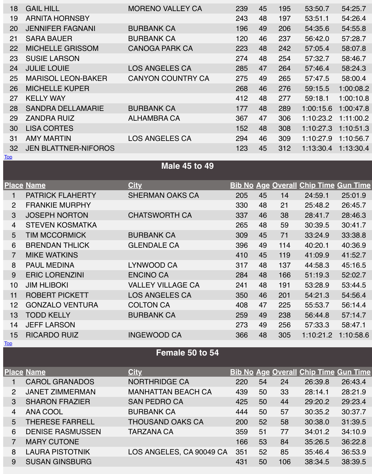|                | <b>Place Name</b>       | <b>City</b>              | $\mathbf{B}$ |
|----------------|-------------------------|--------------------------|--------------|
| 1              | <b>PATRICK FLAHERTY</b> | <b>SHERMAN OAKS CA</b>   |              |
| $\overline{2}$ | <b>FRANKIE MURPHY</b>   |                          |              |
| $\mathcal{S}$  | <b>JOSEPH NORTON</b>    | <b>CHATSWORTH CA</b>     |              |
| $\overline{4}$ | <b>STEVEN KOSMATKA</b>  |                          |              |
| 5              | <b>TIM MCCORMICK</b>    | <b>BURBANK CA</b>        |              |
| 6              | <b>BRENDAN THLICK</b>   | <b>GLENDALE CA</b>       |              |
| $\overline{7}$ | <b>MIKE WATKINS</b>     |                          |              |
| 8              | <b>PAUL MEDINA</b>      | LYNWOOD CA               |              |
| 9              | <b>ERIC LORENZINI</b>   | <b>ENCINO CA</b>         |              |
| 10             | <b>JIM HLIBOKI</b>      | <b>VALLEY VILLAGE CA</b> |              |
| 11             | <b>ROBERT PICKETT</b>   | <b>LOS ANGELES CA</b>    |              |
| 12             | <b>GONZALO VENTURA</b>  | <b>COLTON CA</b>         |              |
| 13             | <b>TODD KELLY</b>       | <b>BURBANK CA</b>        |              |
| 14             | <b>JEFF LARSON</b>      |                          |              |
| 15             | <b>RICARDO RUIZ</b>     | <b>INGEWOOD CA</b>       |              |
| <u>Top</u>     |                         |                          |              |
|                |                         | Female 50 to 54          |              |
|                | <b>Place Name</b>       | <b>City</b>              | $\mathbf{B}$ |
|                |                         |                          |              |

4 ANA COOL BURBANK CA

8 LAURA PISTOTNIK LOS ANGELES, CA 90049 CA

# CHATSWORTH CA

# **Female 50 to 54**

# 1 CAROL GRANADOS NORTHRIDGE CA

- 2 JANET ZIMMERMAN MANHATTAN BEACH CA
- 3 SHARON FRAZIER SAN PEDRO CA
- 
- 5 THERESE FARRELL THOUSAND OAKS CA
- 6 DENISE RASMUSSEN TARZANA CA
- 7 MARY CUTONE
- 
- 9 SUSAN GINSBURG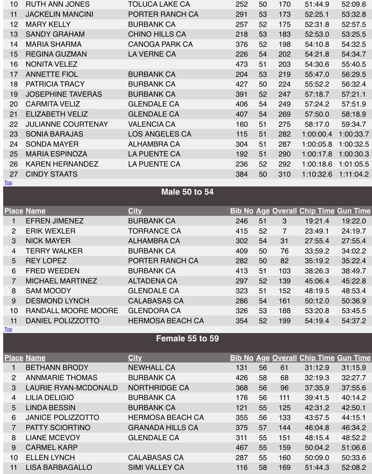# **Male 50 to 54**

|                 | <b>Place Name</b>          | <b>City</b>             | $\overline{\mathbf{B}}$ |
|-----------------|----------------------------|-------------------------|-------------------------|
|                 | <b>EFREN JIMENEZ</b>       | <b>BURBANK CA</b>       |                         |
| $\overline{2}$  | <b>ERIK WEXLER</b>         | <b>TORRANCE CA</b>      |                         |
| $\mathcal{S}$   | <b>NICK MAYER</b>          | <b>ALHAMBRA CA</b>      |                         |
| $\overline{4}$  | <b>TERRY WALKER</b>        | <b>BURBANK CA</b>       |                         |
| $5\overline{)}$ | <b>REY LOPEZ</b>           | PORTER RANCH CA         |                         |
| 6               | <b>FRED WEEDEN</b>         | <b>BURBANK CA</b>       |                         |
| $\overline{7}$  | <b>MICHAEL MARTINEZ</b>    | <b>ALTADENA CA</b>      |                         |
| 8               | <b>SAM MOODY</b>           | <b>GLENDALE CA</b>      |                         |
| 9               | <b>DESMOND LYNCH</b>       | <b>CALABASAS CA</b>     |                         |
| 10              | <b>RANDALL MOORE MOORE</b> | <b>GLENDORA CA</b>      |                         |
| 11              | DANIEL POLIZZOTTO          | <b>HERMOSA BEACH CA</b> |                         |

#### Top

# **Female 55 to 59**

|                | <b>Place Name</b>           | <b>City</b>             | $\mathbf{B}$ |
|----------------|-----------------------------|-------------------------|--------------|
|                | <b>BETHANN BRODY</b>        | <b>NEWHALL CA</b>       |              |
| $\overline{2}$ | <b>ANNMARIE THOMAS</b>      | <b>BURBANK CA</b>       |              |
| $\mathcal{S}$  | <b>LAURIE RYAN-MCDONALD</b> | <b>NORTHRIDGE CA</b>    |              |
| $\overline{4}$ | <b>LILIA DELIGIO</b>        | <b>BURBANK CA</b>       |              |
| 5              | <b>LINDA BESSIN</b>         | <b>BURBANK CA</b>       |              |
| 6              | <b>JANICE POLIZZOTTO</b>    | <b>HERMOSA BEACH CA</b> |              |
| $\overline{7}$ | <b>PATTY SCIORTINO</b>      | <b>GRANADA HILLS CA</b> |              |
| 8              | <b>LIANE MCEVOY</b>         | <b>GLENDALE CA</b>      |              |
| 9              | <b>CARMEL KARP</b>          |                         |              |
| 10             | <b>ELLEN LYNCH</b>          | <b>CALABASAS CA</b>     |              |
| 11             | <b>LISA BARBAGALLO</b>      | <b>SIMI VALLEY CA</b>   |              |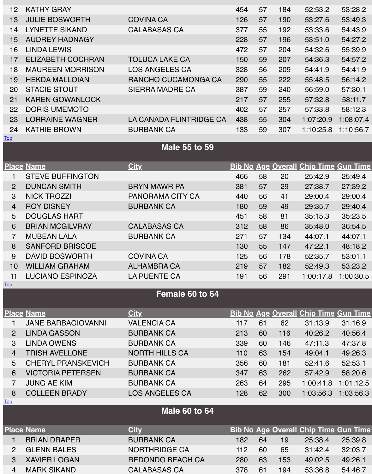|                | <b>STEVE BUFFINGTON</b> |                     |
|----------------|-------------------------|---------------------|
| $\overline{2}$ | <b>DUNCAN SMITH</b>     | <b>BRYN MAWR PA</b> |
| 3              | <b>NICK TROZZI</b>      | PANORAMA CITY CA    |
| $\overline{4}$ | <b>ROY DISNEY</b>       | <b>BURBANK CA</b>   |
| 5              | <b>DOUGLAS HART</b>     |                     |
| 6              | <b>BRIAN MCGILVRAY</b>  | <b>CALABASAS CA</b> |
|                | <b>MUBEAN LALA</b>      | <b>BURBANK CA</b>   |
| 8              | <b>SANFORD BRISCOE</b>  |                     |
|                |                         |                     |

Top

9 DAVID BOSWORTH COVINA CA 10 WILLIAM GRAHAM **ALHAMBRA CA** 11 LUCIANO ESPINOZA LA PUENTE CA

## **Female 60 to 64**

|                | <b>Place Name</b>         | <b>City</b>             | $\mathbf{B}$ |
|----------------|---------------------------|-------------------------|--------------|
| 1              | <b>JANE BARBAGIOVANNI</b> | <b>VALENCIA CA</b>      |              |
| $\overline{2}$ | <b>LINDA GASSON</b>       | <b>BURBANK CA</b>       |              |
| $\mathbf{3}$   | <b>LINDA OWENS</b>        | <b>BURBANK CA</b>       |              |
| $\overline{4}$ | <b>TRISH AVELLONE</b>     | <b>NORTH HILLS CA</b>   |              |
| 5              | <b>CHERYL PRANSKEVICH</b> | <b>BURBANK CA</b>       |              |
| 6              | <b>VICTORIA PETERSEN</b>  | <b>BURBANK CA</b>       |              |
| $\overline{7}$ | <b>JUNG AE KIM</b>        | <b>BURBANK CA</b>       |              |
| 8              | <b>COLLEEN BRADY</b>      | <b>LOS ANGELES CA</b>   |              |
| <u>Top</u>     |                           |                         |              |
|                |                           | <b>Male 60 to 64</b>    |              |
|                | <b>Place Name</b>         | <b>City</b>             | $\mathbf B$  |
| 1              | <b>BRIAN DRAPER</b>       | <b>BURBANK CA</b>       |              |
| $\overline{2}$ | <b>GLENN BALES</b>        | <b>NORTHRIDGE CA</b>    |              |
| 3              | <b>XAVIER LOGAN</b>       | <b>REDONDO BEACH CA</b> |              |
| $\overline{4}$ | <b>MARK SIKAND</b>        | <b>CALABASAS CA</b>     |              |